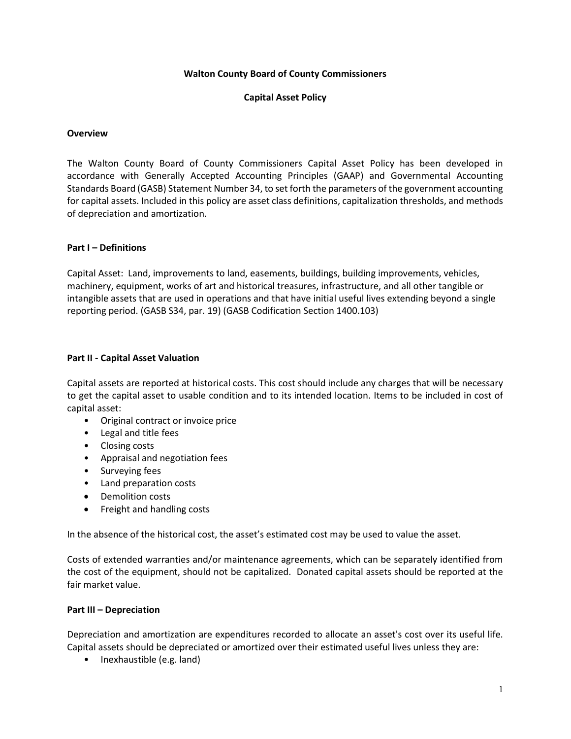### Walton County Board of County Commissioners

### Capital Asset Policy

#### **Overview**

The Walton County Board of County Commissioners Capital Asset Policy has been developed in accordance with Generally Accepted Accounting Principles (GAAP) and Governmental Accounting Standards Board (GASB) Statement Number 34, to set forth the parameters of the government accounting for capital assets. Included in this policy are asset class definitions, capitalization thresholds, and methods of depreciation and amortization.

### Part I – Definitions

Capital Asset: Land, improvements to land, easements, buildings, building improvements, vehicles, machinery, equipment, works of art and historical treasures, infrastructure, and all other tangible or intangible assets that are used in operations and that have initial useful lives extending beyond a single reporting period. (GASB S34, par. 19) (GASB Codification Section 1400.103)

### Part II - Capital Asset Valuation

Capital assets are reported at historical costs. This cost should include any charges that will be necessary to get the capital asset to usable condition and to its intended location. Items to be included in cost of capital asset:

- Original contract or invoice price
- Legal and title fees
- Closing costs
- Appraisal and negotiation fees
- Surveying fees
- Land preparation costs
- Demolition costs
- Freight and handling costs

In the absence of the historical cost, the asset's estimated cost may be used to value the asset.

Costs of extended warranties and/or maintenance agreements, which can be separately identified from the cost of the equipment, should not be capitalized. Donated capital assets should be reported at the fair market value.

## Part III – Depreciation

Depreciation and amortization are expenditures recorded to allocate an asset's cost over its useful life. Capital assets should be depreciated or amortized over their estimated useful lives unless they are:

• Inexhaustible (e.g. land)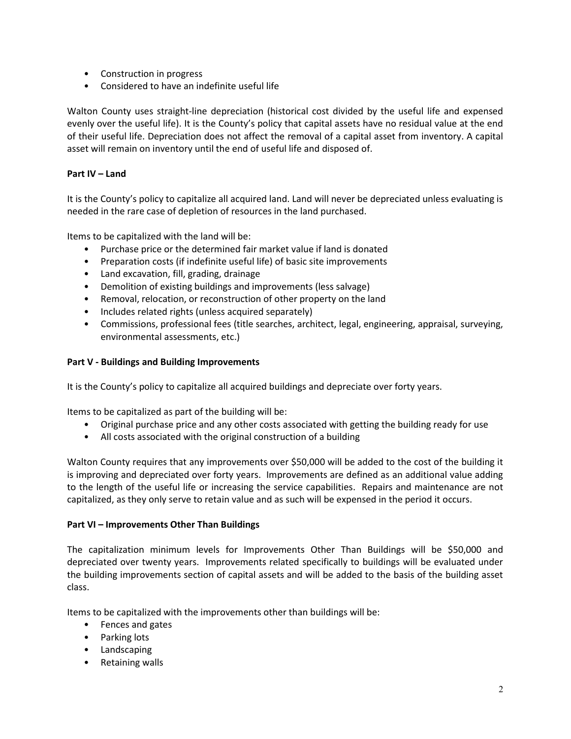- Construction in progress
- Considered to have an indefinite useful life

Walton County uses straight-line depreciation (historical cost divided by the useful life and expensed evenly over the useful life). It is the County's policy that capital assets have no residual value at the end of their useful life. Depreciation does not affect the removal of a capital asset from inventory. A capital asset will remain on inventory until the end of useful life and disposed of.

# Part IV – Land

It is the County's policy to capitalize all acquired land. Land will never be depreciated unless evaluating is needed in the rare case of depletion of resources in the land purchased.

Items to be capitalized with the land will be:

- Purchase price or the determined fair market value if land is donated
- Preparation costs (if indefinite useful life) of basic site improvements
- Land excavation, fill, grading, drainage
- Demolition of existing buildings and improvements (less salvage)
- Removal, relocation, or reconstruction of other property on the land
- Includes related rights (unless acquired separately)
- Commissions, professional fees (title searches, architect, legal, engineering, appraisal, surveying, environmental assessments, etc.)

## Part V - Buildings and Building Improvements

It is the County's policy to capitalize all acquired buildings and depreciate over forty years.

Items to be capitalized as part of the building will be:

- Original purchase price and any other costs associated with getting the building ready for use
- All costs associated with the original construction of a building

Walton County requires that any improvements over \$50,000 will be added to the cost of the building it is improving and depreciated over forty years. Improvements are defined as an additional value adding to the length of the useful life or increasing the service capabilities. Repairs and maintenance are not capitalized, as they only serve to retain value and as such will be expensed in the period it occurs.

## Part VI – Improvements Other Than Buildings

The capitalization minimum levels for Improvements Other Than Buildings will be \$50,000 and depreciated over twenty years. Improvements related specifically to buildings will be evaluated under the building improvements section of capital assets and will be added to the basis of the building asset class.

Items to be capitalized with the improvements other than buildings will be:

- Fences and gates
- Parking lots
- Landscaping
- Retaining walls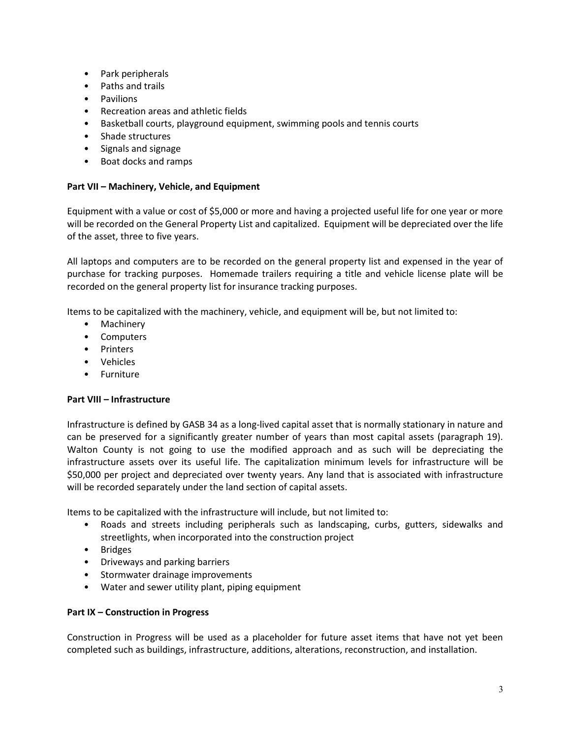- Park peripherals
- Paths and trails
- Pavilions
- Recreation areas and athletic fields
- Basketball courts, playground equipment, swimming pools and tennis courts
- Shade structures
- Signals and signage
- Boat docks and ramps

# Part VII – Machinery, Vehicle, and Equipment

Equipment with a value or cost of \$5,000 or more and having a projected useful life for one year or more will be recorded on the General Property List and capitalized. Equipment will be depreciated over the life of the asset, three to five years.

All laptops and computers are to be recorded on the general property list and expensed in the year of purchase for tracking purposes. Homemade trailers requiring a title and vehicle license plate will be recorded on the general property list for insurance tracking purposes.

Items to be capitalized with the machinery, vehicle, and equipment will be, but not limited to:

- Machinery
- Computers
- Printers
- Vehicles
- Furniture

## Part VIII – Infrastructure

Infrastructure is defined by GASB 34 as a long-lived capital asset that is normally stationary in nature and can be preserved for a significantly greater number of years than most capital assets (paragraph 19). Walton County is not going to use the modified approach and as such will be depreciating the infrastructure assets over its useful life. The capitalization minimum levels for infrastructure will be \$50,000 per project and depreciated over twenty years. Any land that is associated with infrastructure will be recorded separately under the land section of capital assets.

Items to be capitalized with the infrastructure will include, but not limited to:

- Roads and streets including peripherals such as landscaping, curbs, gutters, sidewalks and streetlights, when incorporated into the construction project
- Bridges
- Driveways and parking barriers
- Stormwater drainage improvements
- Water and sewer utility plant, piping equipment

## Part IX – Construction in Progress

Construction in Progress will be used as a placeholder for future asset items that have not yet been completed such as buildings, infrastructure, additions, alterations, reconstruction, and installation.